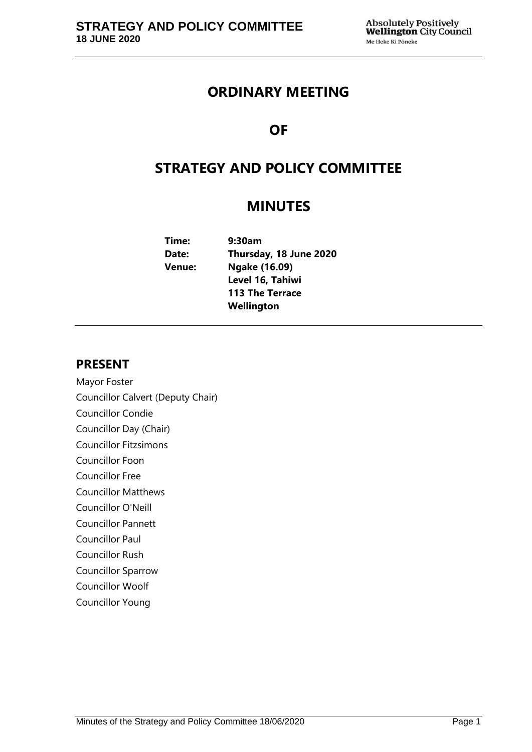# **ORDINARY MEETING**

# **OF**

# **STRATEGY AND POLICY COMMITTEE**

# **MINUTES**

| Time:  | 9:30am                 |  |  |
|--------|------------------------|--|--|
| Date:  | Thursday, 18 June 2020 |  |  |
| Venue: | Ngake (16.09)          |  |  |
|        | Level 16, Tahiwi       |  |  |
|        | <b>113 The Terrace</b> |  |  |
|        | Wellington             |  |  |
|        |                        |  |  |

# **PRESENT**

Mayor Foster Councillor Calvert (Deputy Chair) Councillor Condie Councillor Day (Chair) Councillor Fitzsimons Councillor Foon Councillor Free Councillor Matthews Councillor O'Neill Councillor Pannett Councillor Paul Councillor Rush Councillor Sparrow Councillor Woolf Councillor Young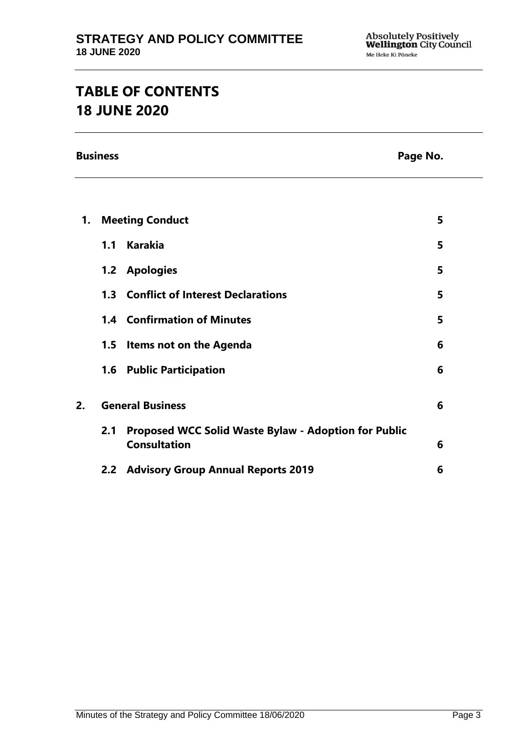# **TABLE OF CONTENTS 18 JUNE 2020**

**Business Page No.**

| 1. | <b>Meeting Conduct</b>  |                                                                                    |   |
|----|-------------------------|------------------------------------------------------------------------------------|---|
|    |                         | 1.1 Karakia                                                                        | 5 |
|    |                         | 1.2 Apologies                                                                      | 5 |
|    |                         | <b>1.3 Conflict of Interest Declarations</b>                                       | 5 |
|    |                         | <b>1.4 Confirmation of Minutes</b>                                                 | 5 |
|    |                         | 1.5 Items not on the Agenda                                                        | 6 |
|    |                         | 1.6 Public Participation                                                           | 6 |
| 2. | <b>General Business</b> |                                                                                    | 6 |
|    | 2.1                     | <b>Proposed WCC Solid Waste Bylaw - Adoption for Public</b><br><b>Consultation</b> | 6 |
|    |                         | 2.2 Advisory Group Annual Reports 2019                                             | 6 |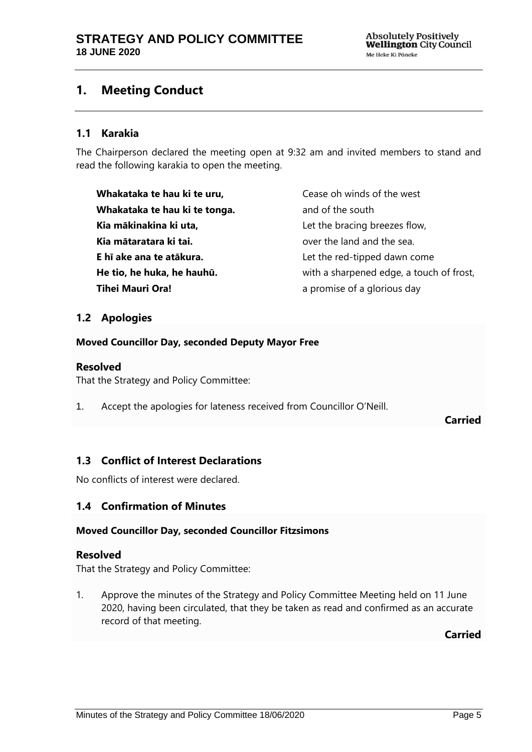# <span id="page-4-0"></span>**1. Meeting Conduct**

## **1.1 Karakia**

The Chairperson declared the meeting open at 9:32 am and invited members to stand and read the following karakia to open the meeting.

**Whakataka te hau ki te uru, Whakataka te hau ki te tonga. Kia mākinakina ki uta, Kia mātaratara ki tai. E hī ake ana te atākura. He tio, he huka, he hauhū. Tihei Mauri Ora!**

Cease oh winds of the west and of the south Let the bracing breezes flow, over the land and the sea. Let the red-tipped dawn come with a sharpened edge, a touch of frost, a promise of a glorious day

## <span id="page-4-1"></span>**1.2 Apologies**

**Moved Councillor Day, seconded Deputy Mayor Free**

### **Resolved**

That the Strategy and Policy Committee:

1. Accept the apologies for lateness received from Councillor O'Neill.

**Carried**

# <span id="page-4-2"></span>**1.3 Conflict of Interest Declarations**

No conflicts of interest were declared.

### <span id="page-4-3"></span>**1.4 Confirmation of Minutes**

### **Moved Councillor Day, seconded Councillor Fitzsimons**

### **Resolved**

That the Strategy and Policy Committee:

1. Approve the minutes of the Strategy and Policy Committee Meeting held on 11 June 2020, having been circulated, that they be taken as read and confirmed as an accurate record of that meeting.

**Carried**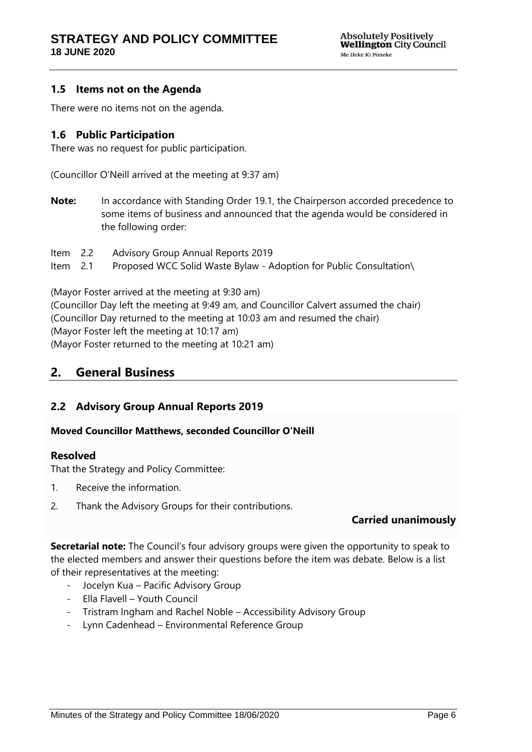## <span id="page-5-0"></span>**1.5 Items not on the Agenda**

There were no items not on the agenda.

## <span id="page-5-1"></span>**1.6 Public Participation**

There was no request for public participation.

(Councillor O'Neill arrived at the meeting at 9:37 am)

**Note:** In accordance with Standing Order 19.1, the Chairperson accorded precedence to some items of business and announced that the agenda would be considered in the following order:

Item 2.2 Advisory Group Annual Reports 2019 Item 2.1 Proposed WCC Solid Waste Bylaw - Adoption for Public Consultation\

(Mayor Foster arrived at the meeting at 9:30 am)

(Councillor Day left the meeting at 9:49 am, and Councillor Calvert assumed the chair) (Councillor Day returned to the meeting at 10:03 am and resumed the chair) (Mayor Foster left the meeting at 10:17 am) (Mayor Foster returned to the meeting at 10:21 am)

# <span id="page-5-2"></span>**2. General Business**

### <span id="page-5-4"></span>**2.2 Advisory Group Annual Reports 2019**

### **Moved Councillor Matthews, seconded Councillor O'Neill**

### **Resolved**

That the Strategy and Policy Committee:

- 1. Receive the information.
- 2. Thank the Advisory Groups for their contributions.

# **Carried unanimously**

**Secretarial note:** The Council's four advisory groups were given the opportunity to speak to the elected members and answer their questions before the item was debate. Below is a list of their representatives at the meeting:

- Jocelyn Kua Pacific Advisory Group
- Ella Flavell Youth Council
- Tristram Ingham and Rachel Noble Accessibility Advisory Group
- <span id="page-5-3"></span>- Lynn Cadenhead – Environmental Reference Group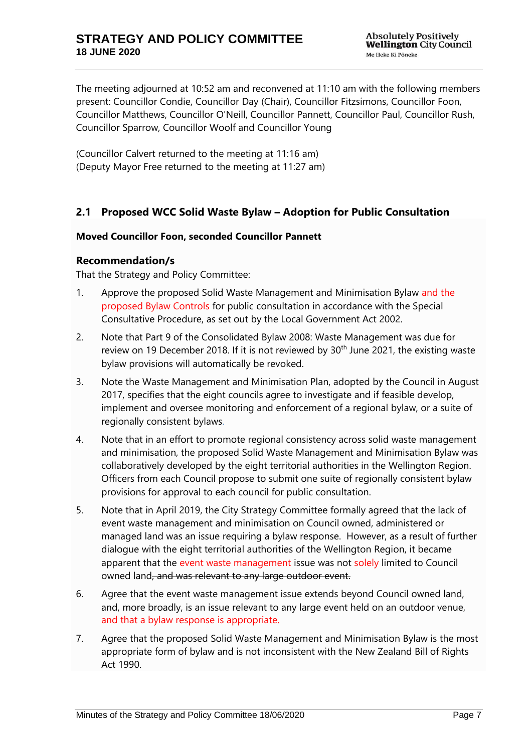The meeting adjourned at 10:52 am and reconvened at 11:10 am with the following members present: Councillor Condie, Councillor Day (Chair), Councillor Fitzsimons, Councillor Foon, Councillor Matthews, Councillor O'Neill, Councillor Pannett, Councillor Paul, Councillor Rush, Councillor Sparrow, Councillor Woolf and Councillor Young

(Councillor Calvert returned to the meeting at 11:16 am) (Deputy Mayor Free returned to the meeting at 11:27 am)

# **2.1 Proposed WCC Solid Waste Bylaw – Adoption for Public Consultation**

### **Moved Councillor Foon, seconded Councillor Pannett**

### **Recommendation/s**

That the Strategy and Policy Committee:

- 1. Approve the proposed Solid Waste Management and Minimisation Bylaw and the proposed Bylaw Controls for public consultation in accordance with the Special Consultative Procedure, as set out by the Local Government Act 2002.
- 2. Note that Part 9 of the Consolidated Bylaw 2008: Waste Management was due for review on 19 December 2018. If it is not reviewed by  $30<sup>th</sup>$  June 2021, the existing waste bylaw provisions will automatically be revoked.
- 3. Note the Waste Management and Minimisation Plan, adopted by the Council in August 2017, specifies that the eight councils agree to investigate and if feasible develop, implement and oversee monitoring and enforcement of a regional bylaw, or a suite of regionally consistent bylaws.
- 4. Note that in an effort to promote regional consistency across solid waste management and minimisation, the proposed Solid Waste Management and Minimisation Bylaw was collaboratively developed by the eight territorial authorities in the Wellington Region. Officers from each Council propose to submit one suite of regionally consistent bylaw provisions for approval to each council for public consultation.
- 5. Note that in April 2019, the City Strategy Committee formally agreed that the lack of event waste management and minimisation on Council owned, administered or managed land was an issue requiring a bylaw response. However, as a result of further dialogue with the eight territorial authorities of the Wellington Region, it became apparent that the event waste management issue was not solely limited to Council owned land, and was relevant to any large outdoor event.
- 6. Agree that the event waste management issue extends beyond Council owned land, and, more broadly, is an issue relevant to any large event held on an outdoor venue, and that a bylaw response is appropriate.
- 7. Agree that the proposed Solid Waste Management and Minimisation Bylaw is the most appropriate form of bylaw and is not inconsistent with the New Zealand Bill of Rights Act 1990.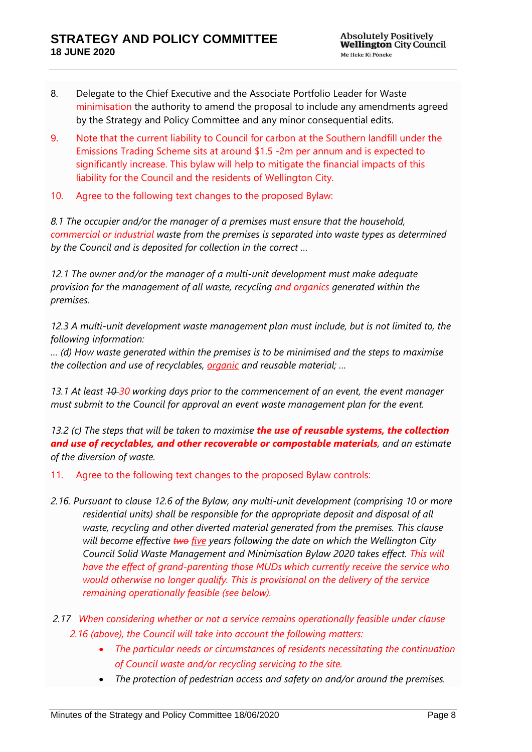- 8. Delegate to the Chief Executive and the Associate Portfolio Leader for Waste minimisation the authority to amend the proposal to include any amendments agreed by the Strategy and Policy Committee and any minor consequential edits.
- 9. Note that the current liability to Council for carbon at the Southern landfill under the Emissions Trading Scheme sits at around \$1.5 -2m per annum and is expected to significantly increase. This bylaw will help to mitigate the financial impacts of this liability for the Council and the residents of Wellington City.
- 10. Agree to the following text changes to the proposed Bylaw:

*8.1 The occupier and/or the manager of a premises must ensure that the household, commercial or industrial waste from the premises is separated into waste types as determined by the Council and is deposited for collection in the correct …*

*12.1 The owner and/or the manager of a multi-unit development must make adequate provision for the management of all waste, recycling and organics generated within the premises.* 

*12.3 A multi-unit development waste management plan must include, but is not limited to, the following information:* 

*… (d) How waste generated within the premises is to be minimised and the steps to maximise the collection and use of recyclables, organic and reusable material; …*

*13.1 At least 10 30 working days prior to the commencement of an event, the event manager must submit to the Council for approval an event waste management plan for the event.*

*13.2 (c) The steps that will be taken to maximise the use of reusable systems, the collection and use of recyclables, and other recoverable or compostable materials, and an estimate of the diversion of waste.*

- 11. Agree to the following text changes to the proposed Bylaw controls:
- *2.16. Pursuant to clause 12.6 of the Bylaw, any multi-unit development (comprising 10 or more residential units) shall be responsible for the appropriate deposit and disposal of all waste, recycling and other diverted material generated from the premises. This clause will become effective two five years following the date on which the Wellington City Council Solid Waste Management and Minimisation Bylaw 2020 takes effect. This will have the effect of grand-parenting those MUDs which currently receive the service who would otherwise no longer qualify. This is provisional on the delivery of the service remaining operationally feasible (see below).*
- *2.17 When considering whether or not a service remains operationally feasible under clause 2.16 (above), the Council will take into account the following matters:*
	- *The particular needs or circumstances of residents necessitating the continuation of Council waste and/or recycling servicing to the site.*
	- *The protection of pedestrian access and safety on and/or around the premises.*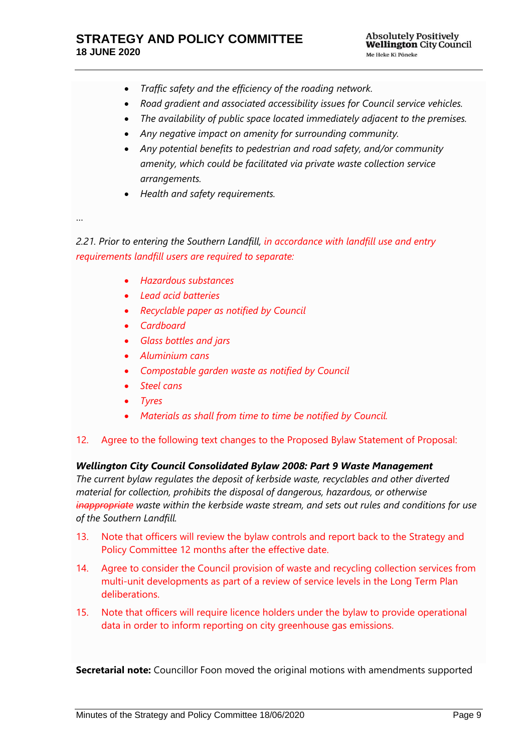- *Traffic safety and the efficiency of the roading network.*
- *Road gradient and associated accessibility issues for Council service vehicles.*
- *The availability of public space located immediately adjacent to the premises.*
- *Any negative impact on amenity for surrounding community.*
- *Any potential benefits to pedestrian and road safety, and/or community amenity, which could be facilitated via private waste collection service arrangements.*
- *Health and safety requirements.*

…

*2.21. Prior to entering the Southern Landfill, in accordance with landfill use and entry requirements landfill users are required to separate:*

- *Hazardous substances*
- *Lead acid batteries*
- *Recyclable paper as notified by Council*
- *Cardboard*
- *Glass bottles and jars*
- *Aluminium cans*
- *Compostable garden waste as notified by Council*
- *Steel cans*
- *Tyres*
- *Materials as shall from time to time be notified by Council.*

### 12. Agree to the following text changes to the Proposed Bylaw Statement of Proposal:

### *Wellington City Council Consolidated Bylaw 2008: Part 9 Waste Management*

*The current bylaw regulates the deposit of kerbside waste, recyclables and other diverted material for collection, prohibits the disposal of dangerous, hazardous, or otherwise inappropriate waste within the kerbside waste stream, and sets out rules and conditions for use of the Southern Landfill.*

- 13. Note that officers will review the bylaw controls and report back to the Strategy and Policy Committee 12 months after the effective date.
- 14. Agree to consider the Council provision of waste and recycling collection services from multi-unit developments as part of a review of service levels in the Long Term Plan deliberations.
- 15. Note that officers will require licence holders under the bylaw to provide operational data in order to inform reporting on city greenhouse gas emissions.

**Secretarial note:** Councillor Foon moved the original motions with amendments supported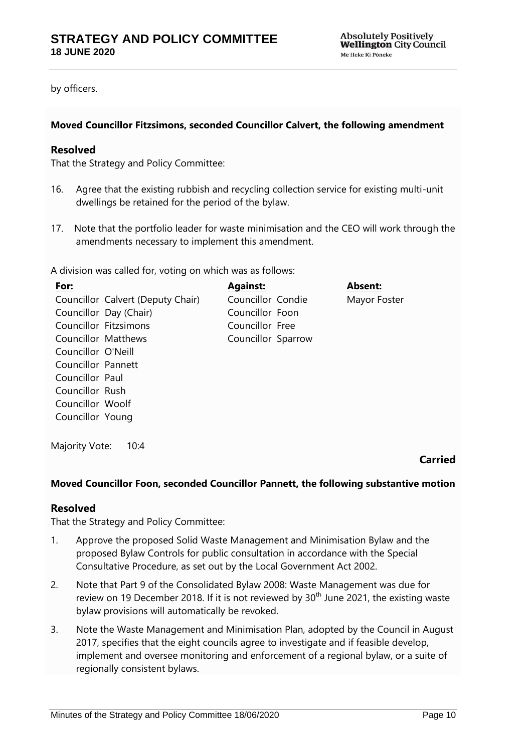by officers.

### **Moved Councillor Fitzsimons, seconded Councillor Calvert, the following amendment**

### **Resolved**

That the Strategy and Policy Committee:

- 16. Agree that the existing rubbish and recycling collection service for existing multi-unit dwellings be retained for the period of the bylaw.
- 17. Note that the portfolio leader for waste minimisation and the CEO will work through the amendments necessary to implement this amendment.

A division was called for, voting on which was as follows:

| For:                |                                   | <b>Against:</b>    | <b>Absent:</b> |
|---------------------|-----------------------------------|--------------------|----------------|
|                     | Councillor Calvert (Deputy Chair) | Councillor Condie  | Mayor Foster   |
|                     | Councillor Day (Chair)            | Councillor Foon    |                |
|                     | Councillor Fitzsimons             | Councillor Free    |                |
| Councillor Matthews |                                   | Councillor Sparrow |                |
| Councillor O'Neill  |                                   |                    |                |
| Councillor Pannett  |                                   |                    |                |
| Councillor Paul     |                                   |                    |                |
| Councillor Rush     |                                   |                    |                |
| Councillor Woolf    |                                   |                    |                |
| Councillor Young    |                                   |                    |                |
|                     |                                   |                    |                |

Majority Vote: 10:4

**Carried**

### **Moved Councillor Foon, seconded Councillor Pannett, the following substantive motion**

### **Resolved**

That the Strategy and Policy Committee:

- 1. Approve the proposed Solid Waste Management and Minimisation Bylaw and the proposed Bylaw Controls for public consultation in accordance with the Special Consultative Procedure, as set out by the Local Government Act 2002.
- 2. Note that Part 9 of the Consolidated Bylaw 2008: Waste Management was due for review on 19 December 2018. If it is not reviewed by  $30<sup>th</sup>$  June 2021, the existing waste bylaw provisions will automatically be revoked.
- 3. Note the Waste Management and Minimisation Plan, adopted by the Council in August 2017, specifies that the eight councils agree to investigate and if feasible develop, implement and oversee monitoring and enforcement of a regional bylaw, or a suite of regionally consistent bylaws.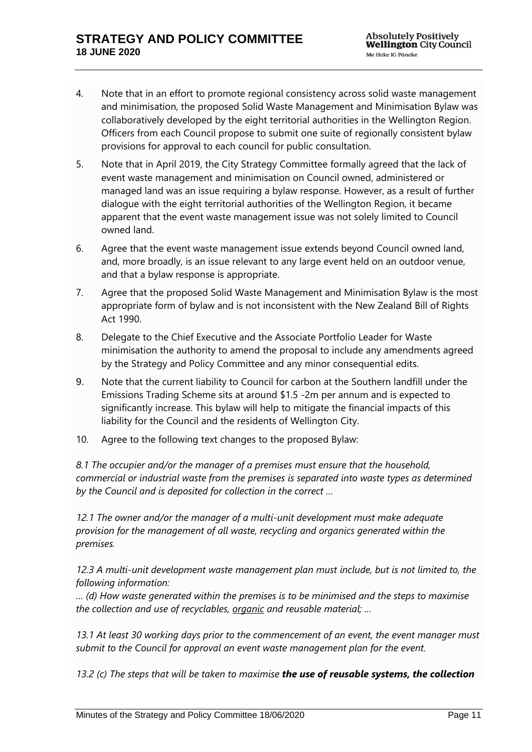- 4. Note that in an effort to promote regional consistency across solid waste management and minimisation, the proposed Solid Waste Management and Minimisation Bylaw was collaboratively developed by the eight territorial authorities in the Wellington Region. Officers from each Council propose to submit one suite of regionally consistent bylaw provisions for approval to each council for public consultation.
- 5. Note that in April 2019, the City Strategy Committee formally agreed that the lack of event waste management and minimisation on Council owned, administered or managed land was an issue requiring a bylaw response. However, as a result of further dialogue with the eight territorial authorities of the Wellington Region, it became apparent that the event waste management issue was not solely limited to Council owned land.
- 6. Agree that the event waste management issue extends beyond Council owned land, and, more broadly, is an issue relevant to any large event held on an outdoor venue, and that a bylaw response is appropriate.
- 7. Agree that the proposed Solid Waste Management and Minimisation Bylaw is the most appropriate form of bylaw and is not inconsistent with the New Zealand Bill of Rights Act 1990.
- 8. Delegate to the Chief Executive and the Associate Portfolio Leader for Waste minimisation the authority to amend the proposal to include any amendments agreed by the Strategy and Policy Committee and any minor consequential edits.
- 9. Note that the current liability to Council for carbon at the Southern landfill under the Emissions Trading Scheme sits at around \$1.5 -2m per annum and is expected to significantly increase. This bylaw will help to mitigate the financial impacts of this liability for the Council and the residents of Wellington City.
- 10. Agree to the following text changes to the proposed Bylaw:

*8.1 The occupier and/or the manager of a premises must ensure that the household, commercial or industrial waste from the premises is separated into waste types as determined by the Council and is deposited for collection in the correct …*

*12.1 The owner and/or the manager of a multi-unit development must make adequate provision for the management of all waste, recycling and organics generated within the premises.* 

*12.3 A multi-unit development waste management plan must include, but is not limited to, the following information:* 

*… (d) How waste generated within the premises is to be minimised and the steps to maximise the collection and use of recyclables, organic and reusable material; …*

*13.1 At least 30 working days prior to the commencement of an event, the event manager must submit to the Council for approval an event waste management plan for the event.*

*13.2 (c) The steps that will be taken to maximise the use of reusable systems, the collection*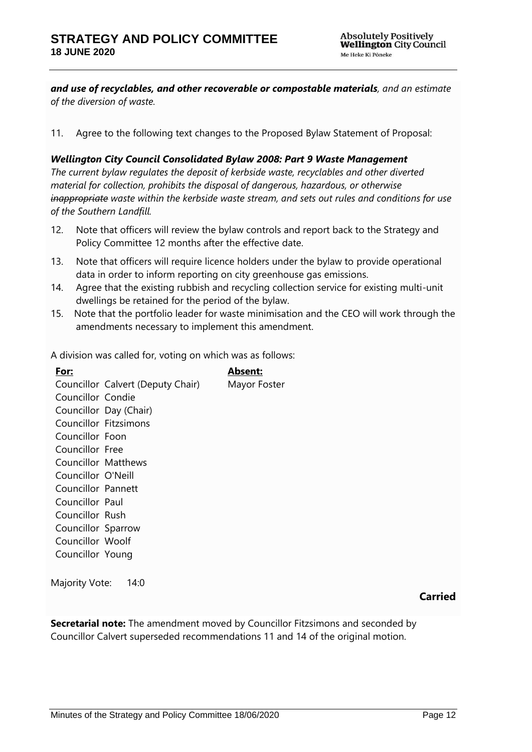*and use of recyclables, and other recoverable or compostable materials, and an estimate of the diversion of waste.*

11. Agree to the following text changes to the Proposed Bylaw Statement of Proposal:

*Wellington City Council Consolidated Bylaw 2008: Part 9 Waste Management The current bylaw regulates the deposit of kerbside waste, recyclables and other diverted material for collection, prohibits the disposal of dangerous, hazardous, or otherwise inappropriate waste within the kerbside waste stream, and sets out rules and conditions for use of the Southern Landfill.*

- 12. Note that officers will review the bylaw controls and report back to the Strategy and Policy Committee 12 months after the effective date.
- 13. Note that officers will require licence holders under the bylaw to provide operational data in order to inform reporting on city greenhouse gas emissions.
- 14. Agree that the existing rubbish and recycling collection service for existing multi-unit dwellings be retained for the period of the bylaw.
- 15. Note that the portfolio leader for waste minimisation and the CEO will work through the amendments necessary to implement this amendment.

A division was called for, voting on which was as follows:

**For:** Councillor Calvert (Deputy Chair) Councillor Condie Councillor Day (Chair) Councillor Fitzsimons Councillor Foon Councillor Free Councillor Matthews Councillor O'Neill Councillor Pannett Councillor Paul Councillor Rush Councillor Sparrow Councillor Woolf Councillor Young **Absent:** Mayor Foster

Majority Vote: 14:0

**Carried**

**Secretarial note:** The amendment moved by Councillor Fitzsimons and seconded by Councillor Calvert superseded recommendations 11 and 14 of the original motion.